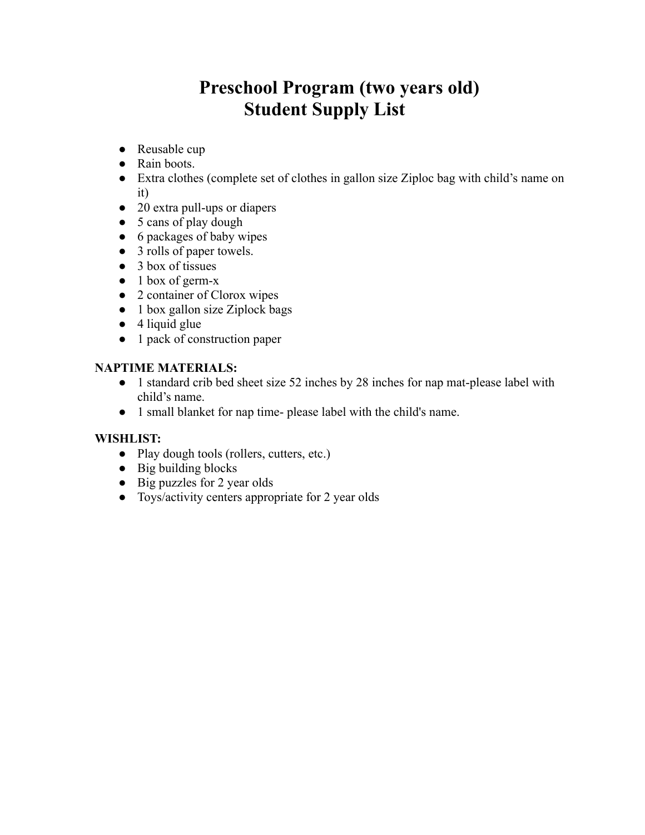## **Preschool Program (two years old) Student Supply List**

- Reusable cup
- Rain boots.
- Extra clothes (complete set of clothes in gallon size Ziploc bag with child's name on it)
- 20 extra pull-ups or diapers
- 5 cans of play dough
- 6 packages of baby wipes
- 3 rolls of paper towels.
- 3 box of tissues
- $\bullet$  1 box of germ-x
- 2 container of Clorox wipes
- $\bullet$  1 box gallon size Ziplock bags
- $\bullet$  4 liquid glue
- 1 pack of construction paper

#### **NAPTIME MATERIALS:**

- 1 standard crib bed sheet size 52 inches by 28 inches for nap mat-please label with child's name.
- 1 small blanket for nap time- please label with the child's name.

#### **WISHLIST:**

- Play dough tools (rollers, cutters, etc.)
- Big building blocks
- Big puzzles for 2 year olds
- Toys/activity centers appropriate for 2 year olds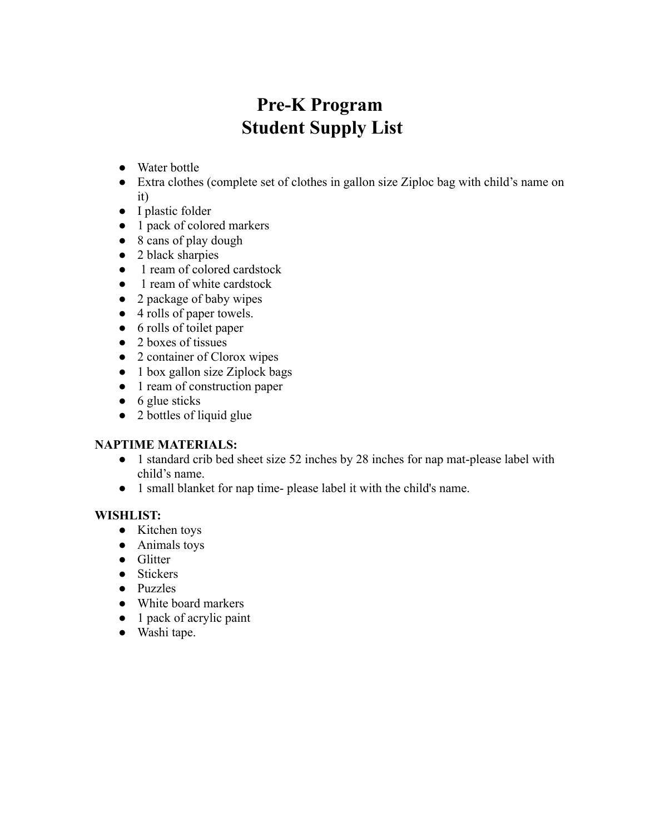# **Pre-K Program Student Supply List**

- Water bottle
- Extra clothes (complete set of clothes in gallon size Ziploc bag with child's name on it)
- I plastic folder
- 1 pack of colored markers
- 8 cans of play dough
- 2 black sharpies
- 1 ream of colored cardstock
- 1 ream of white cardstock
- 2 package of baby wipes
- 4 rolls of paper towels.
- 6 rolls of toilet paper
- 2 boxes of tissues
- 2 container of Clorox wipes
- 1 box gallon size Ziplock bags
- 1 ream of construction paper
- $\bullet$  6 glue sticks
- 2 bottles of liquid glue

#### **NAPTIME MATERIALS:**

- 1 standard crib bed sheet size 52 inches by 28 inches for nap mat-please label with child's name.
- 1 small blanket for nap time- please label it with the child's name.

#### **WISHLIST:**

- Kitchen toys
- Animals toys
- Glitter
- Stickers
- Puzzles
- White board markers
- 1 pack of acrylic paint
- Washi tape.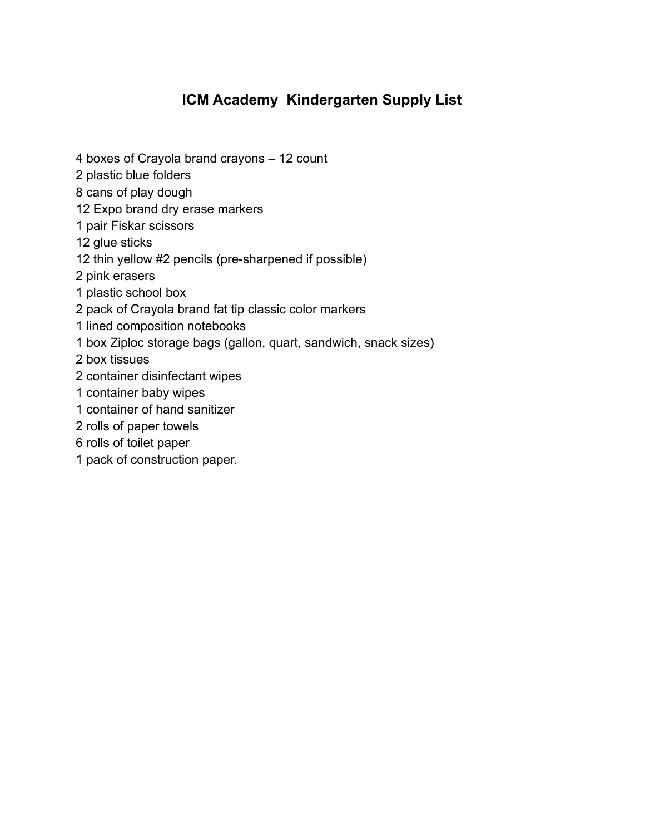### **ICM Academy Kindergarten Supply List**

- 4 boxes of Crayola brand crayons 12 count
- 2 plastic blue folders
- 8 cans of play dough
- 12 Expo brand dry erase markers
- 1 pair Fiskar scissors
- 12 glue sticks
- 12 thin yellow #2 pencils (pre-sharpened if possible)
- 2 pink erasers
- 1 plastic school box
- 2 pack of Crayola brand fat tip classic color markers
- 1 lined composition notebooks
- 1 box Ziploc storage bags (gallon, quart, sandwich, snack sizes)
- 2 box tissues
- 2 container disinfectant wipes
- 1 container baby wipes
- 1 container of hand sanitizer
- 2 rolls of paper towels
- 6 rolls of toilet paper
- 1 pack of construction paper.